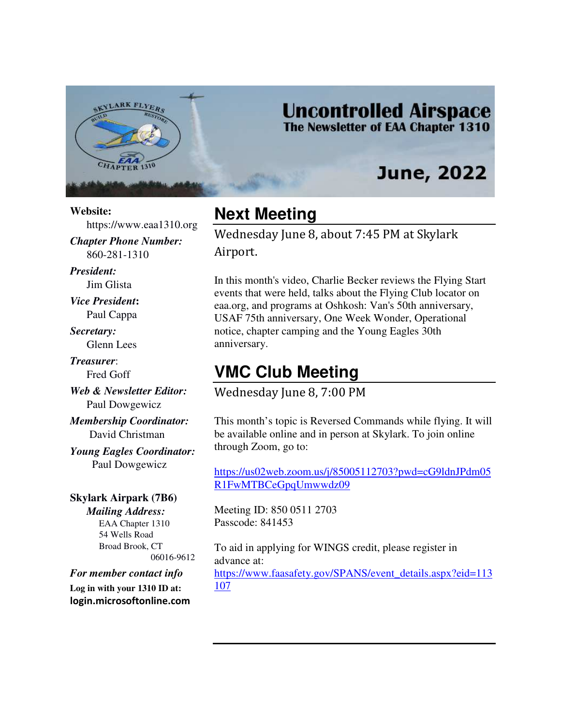

### **Uncontrolled Airspace** The Newsletter of EAA Chapter 1310

# **June, 2022**

#### **Website:**

https://www.eaa1310.org

*Chapter Phone Number:*  860-281-1310

*President:*  Jim Glista

*Vice President***:**  Paul Cappa

*Secretary:* 

Glenn Lees

*Treasurer*: Fred Goff

*Web & Newsletter Editor:* Paul Dowgewicz

*Membership Coordinator:*  David Christman

*Young Eagles Coordinator:*  Paul Dowgewicz

#### **Skylark Airpark (7B6)** *Mailing Address:* EAA Chapter 1310 54 Wells Road Broad Brook, CT 06016-9612

*For member contact info*  **Log in with your 1310 ID at: login.microsoftonline.com** 

## **Next Meeting**

Wednesday June 8, about 7:45 PM at Skylark Airport.

In this month's video, Charlie Becker reviews the Flying Start events that were held, talks about the Flying Club locator on eaa.org, and programs at Oshkosh: Van's 50th anniversary, USAF 75th anniversary, One Week Wonder, Operational notice, chapter camping and the Young Eagles 30th anniversary.

## **VMC Club Meeting**

Wednesday June 8, 7:00 PM

This month's topic is Reversed Commands while flying. It will be available online and in person at Skylark. To join online through Zoom, go to:

https://us02web.zoom.us/j/85005112703?pwd=cG9ldnJPdm05 R1FwMTBCeGpqUmwwdz09

Meeting ID: 850 0511 2703 Passcode: 841453

To aid in applying for WINGS credit, please register in advance at: https://www.faasafety.gov/SPANS/event\_details.aspx?eid=113 107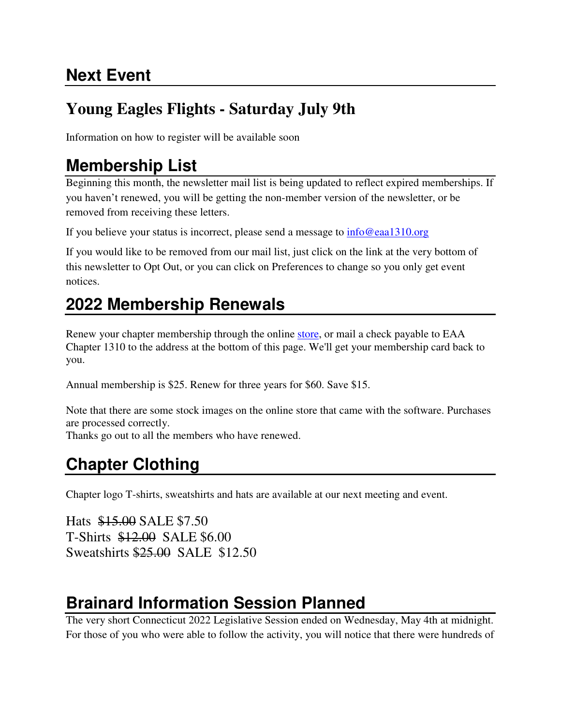# **Next Event**

# **Young Eagles Flights - Saturday July 9th**

Information on how to register will be available soon

# **Membership List**

Beginning this month, the newsletter mail list is being updated to reflect expired memberships. If you haven't renewed, you will be getting the non-member version of the newsletter, or be removed from receiving these letters.

If you believe your status is incorrect, please send a message to info@eaa1310.org

If you would like to be removed from our mail list, just click on the link at the very bottom of this newsletter to Opt Out, or you can click on Preferences to change so you only get event notices.

# **2022 Membership Renewals**

Renew your chapter membership through the online store, or mail a check payable to EAA Chapter 1310 to the address at the bottom of this page. We'll get your membership card back to you.

Annual membership is \$25. Renew for three years for \$60. Save \$15.

Note that there are some stock images on the online store that came with the software. Purchases are processed correctly.

Thanks go out to all the members who have renewed.

# **Chapter Clothing**

Chapter logo T-shirts, sweatshirts and hats are available at our next meeting and event.

Hats \$15.00 SALE \$7.50 T-Shirts \$12.00 SALE \$6.00 Sweatshirts \$25.00 SALE \$12.50

# **Brainard Information Session Planned**

The very short Connecticut 2022 Legislative Session ended on Wednesday, May 4th at midnight. For those of you who were able to follow the activity, you will notice that there were hundreds of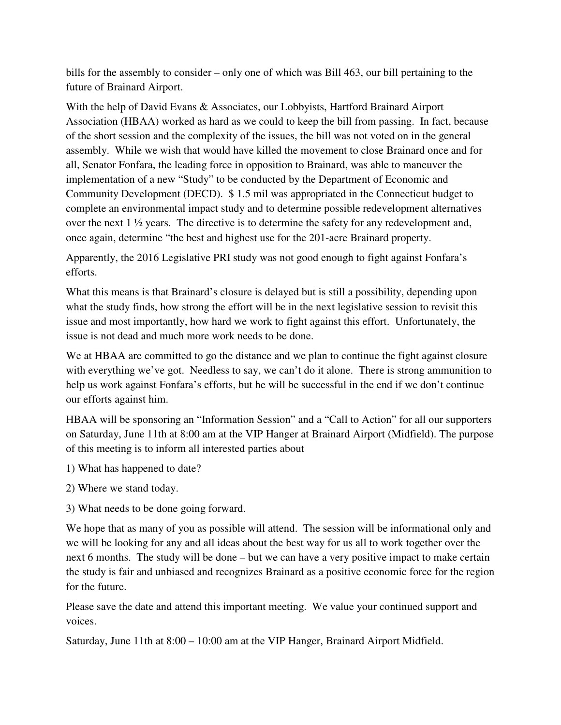bills for the assembly to consider – only one of which was Bill 463, our bill pertaining to the future of Brainard Airport.

With the help of David Evans & Associates, our Lobbyists, Hartford Brainard Airport Association (HBAA) worked as hard as we could to keep the bill from passing. In fact, because of the short session and the complexity of the issues, the bill was not voted on in the general assembly. While we wish that would have killed the movement to close Brainard once and for all, Senator Fonfara, the leading force in opposition to Brainard, was able to maneuver the implementation of a new "Study" to be conducted by the Department of Economic and Community Development (DECD). \$ 1.5 mil was appropriated in the Connecticut budget to complete an environmental impact study and to determine possible redevelopment alternatives over the next  $1 \frac{1}{2}$  years. The directive is to determine the safety for any redevelopment and, once again, determine "the best and highest use for the 201-acre Brainard property.

Apparently, the 2016 Legislative PRI study was not good enough to fight against Fonfara's efforts.

What this means is that Brainard's closure is delayed but is still a possibility, depending upon what the study finds, how strong the effort will be in the next legislative session to revisit this issue and most importantly, how hard we work to fight against this effort. Unfortunately, the issue is not dead and much more work needs to be done.

We at HBAA are committed to go the distance and we plan to continue the fight against closure with everything we've got. Needless to say, we can't do it alone. There is strong ammunition to help us work against Fonfara's efforts, but he will be successful in the end if we don't continue our efforts against him.

HBAA will be sponsoring an "Information Session" and a "Call to Action" for all our supporters on Saturday, June 11th at 8:00 am at the VIP Hanger at Brainard Airport (Midfield). The purpose of this meeting is to inform all interested parties about

- 1) What has happened to date?
- 2) Where we stand today.
- 3) What needs to be done going forward.

We hope that as many of you as possible will attend. The session will be informational only and we will be looking for any and all ideas about the best way for us all to work together over the next 6 months. The study will be done – but we can have a very positive impact to make certain the study is fair and unbiased and recognizes Brainard as a positive economic force for the region for the future.

Please save the date and attend this important meeting. We value your continued support and voices.

Saturday, June 11th at 8:00 – 10:00 am at the VIP Hanger, Brainard Airport Midfield.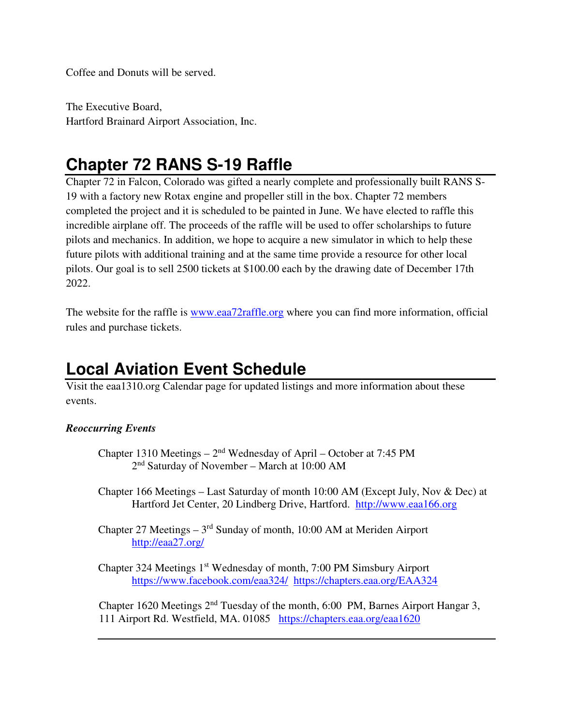Coffee and Donuts will be served.

The Executive Board, Hartford Brainard Airport Association, Inc.

# **Chapter 72 RANS S-19 Raffle**

Chapter 72 in Falcon, Colorado was gifted a nearly complete and professionally built RANS S-19 with a factory new Rotax engine and propeller still in the box. Chapter 72 members completed the project and it is scheduled to be painted in June. We have elected to raffle this incredible airplane off. The proceeds of the raffle will be used to offer scholarships to future pilots and mechanics. In addition, we hope to acquire a new simulator in which to help these future pilots with additional training and at the same time provide a resource for other local pilots. Our goal is to sell 2500 tickets at \$100.00 each by the drawing date of December 17th 2022.

The website for the raffle is www.eaa72raffle.org where you can find more information, official rules and purchase tickets.

# **Local Aviation Event Schedule**

Visit the eaa1310.org Calendar page for updated listings and more information about these events.

### *Reoccurring Events*

- Chapter 1310 Meetings  $2<sup>nd</sup>$  Wednesday of April October at 7:45 PM 2nd Saturday of November – March at 10:00 AM
- Chapter 166 Meetings Last Saturday of month 10:00 AM (Except July, Nov & Dec) at Hartford Jet Center, 20 Lindberg Drive, Hartford. http://www.eaa166.org
- Chapter 27 Meetings  $-3<sup>rd</sup>$  Sunday of month, 10:00 AM at Meriden Airport http://eaa27.org/

Chapter 324 Meetings 1st Wednesday of month, 7:00 PM Simsbury Airport https://www.facebook.com/eaa324/ https://chapters.eaa.org/EAA324

Chapter 1620 Meetings  $2<sup>nd</sup>$  Tuesday of the month, 6:00 PM, Barnes Airport Hangar 3, 111 Airport Rd. Westfield, MA. 01085 https://chapters.eaa.org/eaa1620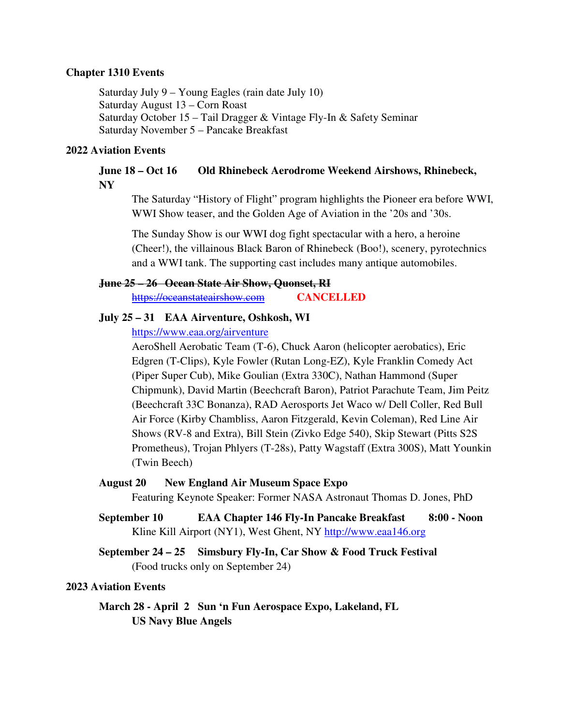#### **Chapter 1310 Events**

Saturday July 9 – Young Eagles (rain date July 10) Saturday August 13 – Corn Roast Saturday October 15 – Tail Dragger & Vintage Fly-In & Safety Seminar Saturday November 5 – Pancake Breakfast

#### **2022 Aviation Events**

#### June 18 – Oct 16 Old Rhinebeck Aerodrome Weekend Airshows, Rhinebeck, **NY**

The Saturday "History of Flight" program highlights the Pioneer era before WWI, WWI Show teaser, and the Golden Age of Aviation in the '20s and '30s.

The Sunday Show is our WWI dog fight spectacular with a hero, a heroine (Cheer!), the villainous Black Baron of Rhinebeck (Boo!), scenery, pyrotechnics and a WWI tank. The supporting cast includes many antique automobiles.

#### **June 25 – 26 Ocean State Air Show, Quonset, RI**

https://oceanstateairshow.com **CANCELLED** 

#### **July 25 – 31 EAA Airventure, Oshkosh, WI**

### https://www.eaa.org/airventure

AeroShell Aerobatic Team (T-6), Chuck Aaron (helicopter aerobatics), Eric Edgren (T-Clips), Kyle Fowler (Rutan Long-EZ), Kyle Franklin Comedy Act (Piper Super Cub), Mike Goulian (Extra 330C), Nathan Hammond (Super Chipmunk), David Martin (Beechcraft Baron), Patriot Parachute Team, Jim Peitz (Beechcraft 33C Bonanza), RAD Aerosports Jet Waco w/ Dell Coller, Red Bull Air Force (Kirby Chambliss, Aaron Fitzgerald, Kevin Coleman), Red Line Air Shows (RV-8 and Extra), Bill Stein (Zivko Edge 540), Skip Stewart (Pitts S2S Prometheus), Trojan Phlyers (T-28s), Patty Wagstaff (Extra 300S), Matt Younkin (Twin Beech)

#### **August 20 New England Air Museum Space Expo**

Featuring Keynote Speaker: Former NASA Astronaut Thomas D. Jones, PhD

- **September 10 EAA Chapter 146 Fly-In Pancake Breakfast 8:00 Noon**  Kline Kill Airport (NY1), West Ghent, NY http://www.eaa146.org
- **September 24 25 Simsbury Fly-In, Car Show & Food Truck Festival**  (Food trucks only on September 24)

#### **2023 Aviation Events**

 **March 28 - April 2 Sun 'n Fun Aerospace Expo, Lakeland, FL US Navy Blue Angels**